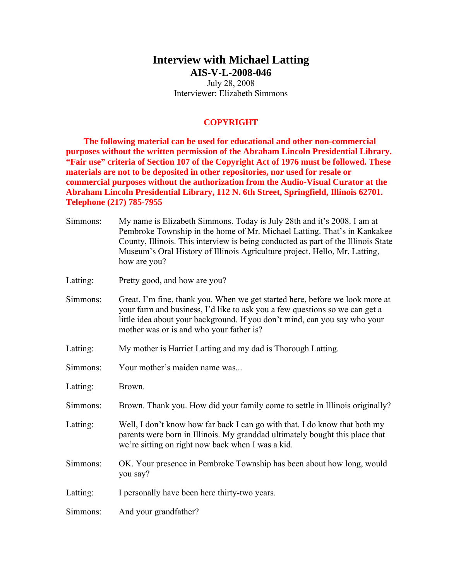## **Interview with Michael Latting AIS-V-L-2008-046**

July 28, 2008 Interviewer: Elizabeth Simmons

### **COPYRIGHT**

**The following material can be used for educational and other non-commercial purposes without the written permission of the Abraham Lincoln Presidential Library. "Fair use" criteria of Section 107 of the Copyright Act of 1976 must be followed. These materials are not to be deposited in other repositories, nor used for resale or commercial purposes without the authorization from the Audio-Visual Curator at the Abraham Lincoln Presidential Library, 112 N. 6th Street, Springfield, Illinois 62701. Telephone (217) 785-7955** 

| Simmons: | My name is Elizabeth Simmons. Today is July 28th and it's 2008. I am at<br>Pembroke Township in the home of Mr. Michael Latting. That's in Kankakee<br>County, Illinois. This interview is being conducted as part of the Illinois State<br>Museum's Oral History of Illinois Agriculture project. Hello, Mr. Latting,<br>how are you? |
|----------|----------------------------------------------------------------------------------------------------------------------------------------------------------------------------------------------------------------------------------------------------------------------------------------------------------------------------------------|
| Latting: | Pretty good, and how are you?                                                                                                                                                                                                                                                                                                          |
| Simmons: | Great. I'm fine, thank you. When we get started here, before we look more at<br>your farm and business, I'd like to ask you a few questions so we can get a<br>little idea about your background. If you don't mind, can you say who your<br>mother was or is and who your father is?                                                  |
| Latting: | My mother is Harriet Latting and my dad is Thorough Latting.                                                                                                                                                                                                                                                                           |
| Simmons: | Your mother's maiden name was                                                                                                                                                                                                                                                                                                          |
| Latting: | Brown.                                                                                                                                                                                                                                                                                                                                 |
| Simmons: | Brown. Thank you. How did your family come to settle in Illinois originally?                                                                                                                                                                                                                                                           |
| Latting: | Well, I don't know how far back I can go with that. I do know that both my<br>parents were born in Illinois. My granddad ultimately bought this place that<br>we're sitting on right now back when I was a kid.                                                                                                                        |
| Simmons: | OK. Your presence in Pembroke Township has been about how long, would<br>you say?                                                                                                                                                                                                                                                      |
| Latting: | I personally have been here thirty-two years.                                                                                                                                                                                                                                                                                          |
| Simmons: | And your grandfather?                                                                                                                                                                                                                                                                                                                  |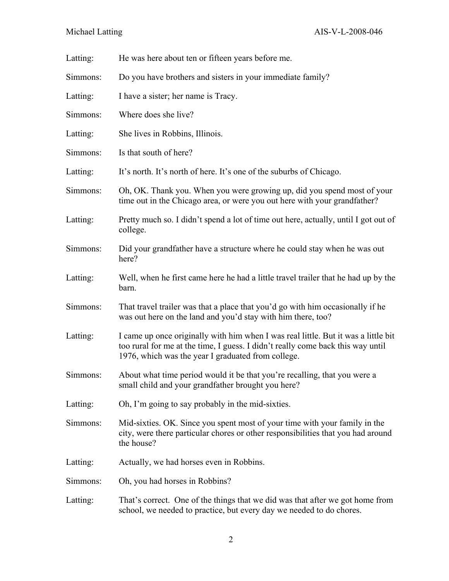| Latting: | He was here about ten or fifteen years before me.                                                                                                                                                                           |
|----------|-----------------------------------------------------------------------------------------------------------------------------------------------------------------------------------------------------------------------------|
| Simmons: | Do you have brothers and sisters in your immediate family?                                                                                                                                                                  |
| Latting: | I have a sister; her name is Tracy.                                                                                                                                                                                         |
| Simmons: | Where does she live?                                                                                                                                                                                                        |
| Latting: | She lives in Robbins, Illinois.                                                                                                                                                                                             |
| Simmons: | Is that south of here?                                                                                                                                                                                                      |
| Latting: | It's north. It's north of here. It's one of the suburbs of Chicago.                                                                                                                                                         |
| Simmons: | Oh, OK. Thank you. When you were growing up, did you spend most of your<br>time out in the Chicago area, or were you out here with your grandfather?                                                                        |
| Latting: | Pretty much so. I didn't spend a lot of time out here, actually, until I got out of<br>college.                                                                                                                             |
| Simmons: | Did your grandfather have a structure where he could stay when he was out<br>here?                                                                                                                                          |
| Latting: | Well, when he first came here he had a little travel trailer that he had up by the<br>barn.                                                                                                                                 |
| Simmons: | That travel trailer was that a place that you'd go with him occasionally if he<br>was out here on the land and you'd stay with him there, too?                                                                              |
| Latting: | I came up once originally with him when I was real little. But it was a little bit<br>too rural for me at the time, I guess. I didn't really come back this way until<br>1976, which was the year I graduated from college. |
| Simmons: | About what time period would it be that you're recalling, that you were a<br>small child and your grandfather brought you here?                                                                                             |
| Latting: | Oh, I'm going to say probably in the mid-sixties.                                                                                                                                                                           |
| Simmons: | Mid-sixties. OK. Since you spent most of your time with your family in the<br>city, were there particular chores or other responsibilities that you had around<br>the house?                                                |
| Latting: | Actually, we had horses even in Robbins.                                                                                                                                                                                    |
| Simmons: | Oh, you had horses in Robbins?                                                                                                                                                                                              |
| Latting: | That's correct. One of the things that we did was that after we got home from<br>school, we needed to practice, but every day we needed to do chores.                                                                       |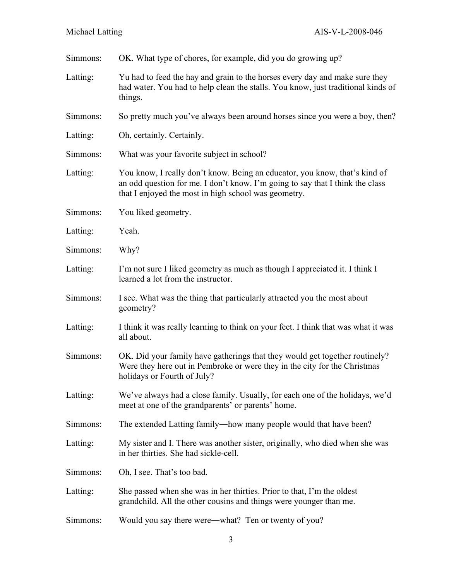| Simmons: | OK. What type of chores, for example, did you do growing up?                                                                                                                                                        |
|----------|---------------------------------------------------------------------------------------------------------------------------------------------------------------------------------------------------------------------|
| Latting: | Yu had to feed the hay and grain to the horses every day and make sure they<br>had water. You had to help clean the stalls. You know, just traditional kinds of<br>things.                                          |
| Simmons: | So pretty much you've always been around horses since you were a boy, then?                                                                                                                                         |
| Latting: | Oh, certainly. Certainly.                                                                                                                                                                                           |
| Simmons: | What was your favorite subject in school?                                                                                                                                                                           |
| Latting: | You know, I really don't know. Being an educator, you know, that's kind of<br>an odd question for me. I don't know. I'm going to say that I think the class<br>that I enjoyed the most in high school was geometry. |
| Simmons: | You liked geometry.                                                                                                                                                                                                 |
| Latting: | Yeah.                                                                                                                                                                                                               |
| Simmons: | Why?                                                                                                                                                                                                                |
| Latting: | I'm not sure I liked geometry as much as though I appreciated it. I think I<br>learned a lot from the instructor.                                                                                                   |
| Simmons: | I see. What was the thing that particularly attracted you the most about<br>geometry?                                                                                                                               |
| Latting: | I think it was really learning to think on your feet. I think that was what it was<br>all about.                                                                                                                    |
| Simmons: | OK. Did your family have gatherings that they would get together routinely?<br>Were they here out in Pembroke or were they in the city for the Christmas<br>holidays or Fourth of July?                             |
| Latting: | We've always had a close family. Usually, for each one of the holidays, we'd<br>meet at one of the grandparents' or parents' home.                                                                                  |
| Simmons: | The extended Latting family—how many people would that have been?                                                                                                                                                   |
| Latting: | My sister and I. There was another sister, originally, who died when she was<br>in her thirties. She had sickle-cell.                                                                                               |
| Simmons: | Oh, I see. That's too bad.                                                                                                                                                                                          |
| Latting: | She passed when she was in her thirties. Prior to that, I'm the oldest<br>grandchild. All the other cousins and things were younger than me.                                                                        |
| Simmons: | Would you say there were—what? Ten or twenty of you?                                                                                                                                                                |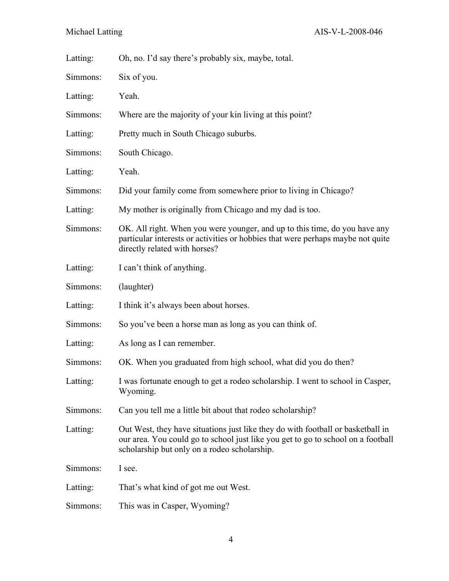| Latting: | Oh, no. I'd say there's probably six, maybe, total.                                                                                                                                                                 |
|----------|---------------------------------------------------------------------------------------------------------------------------------------------------------------------------------------------------------------------|
| Simmons: | Six of you.                                                                                                                                                                                                         |
| Latting: | Yeah.                                                                                                                                                                                                               |
| Simmons: | Where are the majority of your kin living at this point?                                                                                                                                                            |
| Latting: | Pretty much in South Chicago suburbs.                                                                                                                                                                               |
| Simmons: | South Chicago.                                                                                                                                                                                                      |
| Latting: | Yeah.                                                                                                                                                                                                               |
| Simmons: | Did your family come from somewhere prior to living in Chicago?                                                                                                                                                     |
| Latting: | My mother is originally from Chicago and my dad is too.                                                                                                                                                             |
| Simmons: | OK. All right. When you were younger, and up to this time, do you have any<br>particular interests or activities or hobbies that were perhaps maybe not quite<br>directly related with horses?                      |
| Latting: | I can't think of anything.                                                                                                                                                                                          |
| Simmons: | (laughter)                                                                                                                                                                                                          |
| Latting: | I think it's always been about horses.                                                                                                                                                                              |
| Simmons: | So you've been a horse man as long as you can think of.                                                                                                                                                             |
| Latting: | As long as I can remember.                                                                                                                                                                                          |
| Simmons: | OK. When you graduated from high school, what did you do then?                                                                                                                                                      |
| Latting: | I was fortunate enough to get a rodeo scholarship. I went to school in Casper,<br>Wyoming.                                                                                                                          |
| Simmons: | Can you tell me a little bit about that rodeo scholarship?                                                                                                                                                          |
| Latting: | Out West, they have situations just like they do with football or basketball in<br>our area. You could go to school just like you get to go to school on a football<br>scholarship but only on a rodeo scholarship. |
| Simmons: | I see.                                                                                                                                                                                                              |
| Latting: | That's what kind of got me out West.                                                                                                                                                                                |
| Simmons: | This was in Casper, Wyoming?                                                                                                                                                                                        |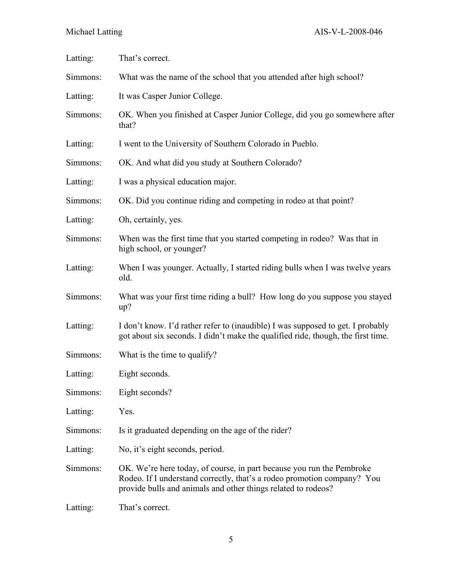Michael Latting AIS-V-L-2008-046

| Latting: | That's correct.                                                                                                                                                                                                   |
|----------|-------------------------------------------------------------------------------------------------------------------------------------------------------------------------------------------------------------------|
| Simmons: | What was the name of the school that you attended after high school?                                                                                                                                              |
| Latting: | It was Casper Junior College.                                                                                                                                                                                     |
| Simmons: | OK. When you finished at Casper Junior College, did you go somewhere after<br>that?                                                                                                                               |
| Latting: | I went to the University of Southern Colorado in Pueblo.                                                                                                                                                          |
| Simmons: | OK. And what did you study at Southern Colorado?                                                                                                                                                                  |
| Latting: | I was a physical education major.                                                                                                                                                                                 |
| Simmons: | OK. Did you continue riding and competing in rodeo at that point?                                                                                                                                                 |
| Latting: | Oh, certainly, yes.                                                                                                                                                                                               |
| Simmons: | When was the first time that you started competing in rodeo? Was that in<br>high school, or younger?                                                                                                              |
| Latting: | When I was younger. Actually, I started riding bulls when I was twelve years<br>old.                                                                                                                              |
| Simmons: | What was your first time riding a bull? How long do you suppose you stayed<br>up?                                                                                                                                 |
| Latting: | I don't know. I'd rather refer to (inaudible) I was supposed to get. I probably<br>got about six seconds. I didn't make the qualified ride, though, the first time.                                               |
| Simmons: | What is the time to qualify?                                                                                                                                                                                      |
| Latting: | Eight seconds.                                                                                                                                                                                                    |
| Simmons: | Eight seconds?                                                                                                                                                                                                    |
| Latting: | Yes.                                                                                                                                                                                                              |
| Simmons: | Is it graduated depending on the age of the rider?                                                                                                                                                                |
| Latting: | No, it's eight seconds, period.                                                                                                                                                                                   |
| Simmons: | OK. We're here today, of course, in part because you run the Pembroke<br>Rodeo. If I understand correctly, that's a rodeo promotion company? You<br>provide bulls and animals and other things related to rodeos? |
| Latting: | That's correct.                                                                                                                                                                                                   |
|          |                                                                                                                                                                                                                   |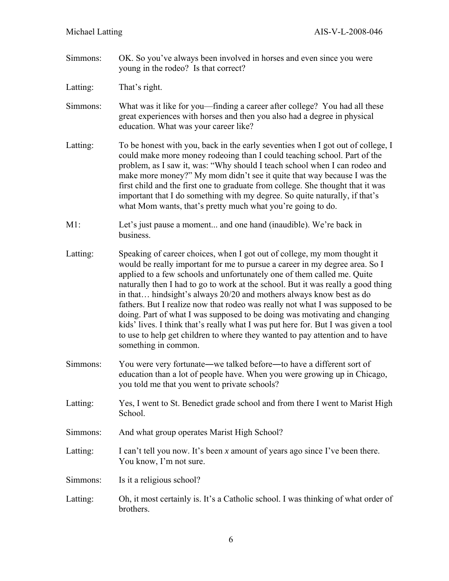Simmons: OK. So you've always been involved in horses and even since you were young in the rodeo? Is that correct?

Latting: That's right.

- Simmons: What was it like for you—finding a career after college? You had all these great experiences with horses and then you also had a degree in physical education. What was your career like?
- Latting: To be honest with you, back in the early seventies when I got out of college, I could make more money rodeoing than I could teaching school. Part of the problem, as I saw it, was: "Why should I teach school when I can rodeo and make more money?" My mom didn't see it quite that way because I was the first child and the first one to graduate from college. She thought that it was important that I do something with my degree. So quite naturally, if that's what Mom wants, that's pretty much what you're going to do.
- M1: Let's just pause a moment... and one hand (inaudible). We're back in business.
- Latting: Speaking of career choices, when I got out of college, my mom thought it would be really important for me to pursue a career in my degree area. So I applied to a few schools and unfortunately one of them called me. Quite naturally then I had to go to work at the school. But it was really a good thing in that… hindsight's always 20/20 and mothers always know best as do fathers. But I realize now that rodeo was really not what I was supposed to be doing. Part of what I was supposed to be doing was motivating and changing kids' lives. I think that's really what I was put here for. But I was given a tool to use to help get children to where they wanted to pay attention and to have something in common.
- Simmons: You were very fortunate―we talked before―to have a different sort of education than a lot of people have. When you were growing up in Chicago, you told me that you went to private schools?
- Latting: Yes, I went to St. Benedict grade school and from there I went to Marist High School.
- Simmons: And what group operates Marist High School?
- Latting: I can't tell you now. It's been *x* amount of years ago since I've been there. You know, I'm not sure.
- Simmons: Is it a religious school?
- Latting: Oh, it most certainly is. It's a Catholic school. I was thinking of what order of brothers.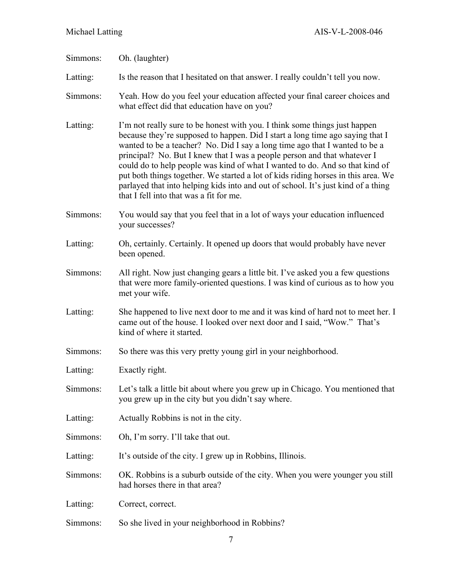| Simmons: | Oh. (laughter)                                                                                                                                                                                                                                                                                                                                                                                                                                                                                                                                                                                                              |
|----------|-----------------------------------------------------------------------------------------------------------------------------------------------------------------------------------------------------------------------------------------------------------------------------------------------------------------------------------------------------------------------------------------------------------------------------------------------------------------------------------------------------------------------------------------------------------------------------------------------------------------------------|
| Latting: | Is the reason that I hesitated on that answer. I really couldn't tell you now.                                                                                                                                                                                                                                                                                                                                                                                                                                                                                                                                              |
| Simmons: | Yeah. How do you feel your education affected your final career choices and<br>what effect did that education have on you?                                                                                                                                                                                                                                                                                                                                                                                                                                                                                                  |
| Latting: | I'm not really sure to be honest with you. I think some things just happen<br>because they're supposed to happen. Did I start a long time ago saying that I<br>wanted to be a teacher? No. Did I say a long time ago that I wanted to be a<br>principal? No. But I knew that I was a people person and that whatever I<br>could do to help people was kind of what I wanted to do. And so that kind of<br>put both things together. We started a lot of kids riding horses in this area. We<br>parlayed that into helping kids into and out of school. It's just kind of a thing<br>that I fell into that was a fit for me. |
| Simmons: | You would say that you feel that in a lot of ways your education influenced<br>your successes?                                                                                                                                                                                                                                                                                                                                                                                                                                                                                                                              |
| Latting: | Oh, certainly. Certainly. It opened up doors that would probably have never<br>been opened.                                                                                                                                                                                                                                                                                                                                                                                                                                                                                                                                 |
| Simmons: | All right. Now just changing gears a little bit. I've asked you a few questions<br>that were more family-oriented questions. I was kind of curious as to how you<br>met your wife.                                                                                                                                                                                                                                                                                                                                                                                                                                          |
| Latting: | She happened to live next door to me and it was kind of hard not to meet her. I<br>came out of the house. I looked over next door and I said, "Wow." That's<br>kind of where it started.                                                                                                                                                                                                                                                                                                                                                                                                                                    |
| Simmons: | So there was this very pretty young girl in your neighborhood.                                                                                                                                                                                                                                                                                                                                                                                                                                                                                                                                                              |
| Latting: | Exactly right.                                                                                                                                                                                                                                                                                                                                                                                                                                                                                                                                                                                                              |
| Simmons: | Let's talk a little bit about where you grew up in Chicago. You mentioned that<br>you grew up in the city but you didn't say where.                                                                                                                                                                                                                                                                                                                                                                                                                                                                                         |
| Latting: | Actually Robbins is not in the city.                                                                                                                                                                                                                                                                                                                                                                                                                                                                                                                                                                                        |
| Simmons: | Oh, I'm sorry. I'll take that out.                                                                                                                                                                                                                                                                                                                                                                                                                                                                                                                                                                                          |
| Latting: | It's outside of the city. I grew up in Robbins, Illinois.                                                                                                                                                                                                                                                                                                                                                                                                                                                                                                                                                                   |
| Simmons: | OK. Robbins is a suburb outside of the city. When you were younger you still<br>had horses there in that area?                                                                                                                                                                                                                                                                                                                                                                                                                                                                                                              |
| Latting: | Correct, correct.                                                                                                                                                                                                                                                                                                                                                                                                                                                                                                                                                                                                           |
| Simmons: | So she lived in your neighborhood in Robbins?                                                                                                                                                                                                                                                                                                                                                                                                                                                                                                                                                                               |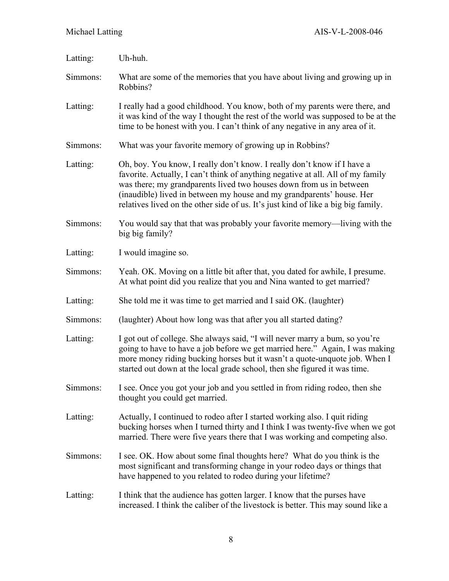| Latting: | Uh-huh.                                                                                                                                                                                                                                                                                                                                                                                         |
|----------|-------------------------------------------------------------------------------------------------------------------------------------------------------------------------------------------------------------------------------------------------------------------------------------------------------------------------------------------------------------------------------------------------|
| Simmons: | What are some of the memories that you have about living and growing up in<br>Robbins?                                                                                                                                                                                                                                                                                                          |
| Latting: | I really had a good childhood. You know, both of my parents were there, and<br>it was kind of the way I thought the rest of the world was supposed to be at the<br>time to be honest with you. I can't think of any negative in any area of it.                                                                                                                                                 |
| Simmons: | What was your favorite memory of growing up in Robbins?                                                                                                                                                                                                                                                                                                                                         |
| Latting: | Oh, boy. You know, I really don't know. I really don't know if I have a<br>favorite. Actually, I can't think of anything negative at all. All of my family<br>was there; my grandparents lived two houses down from us in between<br>(inaudible) lived in between my house and my grandparents' house. Her<br>relatives lived on the other side of us. It's just kind of like a big big family. |
| Simmons: | You would say that that was probably your favorite memory—living with the<br>big big family?                                                                                                                                                                                                                                                                                                    |
| Latting: | I would imagine so.                                                                                                                                                                                                                                                                                                                                                                             |
| Simmons: | Yeah. OK. Moving on a little bit after that, you dated for awhile, I presume.<br>At what point did you realize that you and Nina wanted to get married?                                                                                                                                                                                                                                         |
| Latting: | She told me it was time to get married and I said OK. (laughter)                                                                                                                                                                                                                                                                                                                                |
| Simmons: | (laughter) About how long was that after you all started dating?                                                                                                                                                                                                                                                                                                                                |
| Latting: | I got out of college. She always said, "I will never marry a bum, so you're<br>going to have to have a job before we get married here." Again, I was making<br>more money riding bucking horses but it wasn't a quote-unquote job. When I<br>started out down at the local grade school, then she figured it was time.                                                                          |
| Simmons: | I see. Once you got your job and you settled in from riding rodeo, then she<br>thought you could get married.                                                                                                                                                                                                                                                                                   |
| Latting: | Actually, I continued to rodeo after I started working also. I quit riding<br>bucking horses when I turned thirty and I think I was twenty-five when we got<br>married. There were five years there that I was working and competing also.                                                                                                                                                      |
| Simmons: | I see. OK. How about some final thoughts here? What do you think is the<br>most significant and transforming change in your rodeo days or things that<br>have happened to you related to rodeo during your lifetime?                                                                                                                                                                            |
| Latting: | I think that the audience has gotten larger. I know that the purses have<br>increased. I think the caliber of the livestock is better. This may sound like a                                                                                                                                                                                                                                    |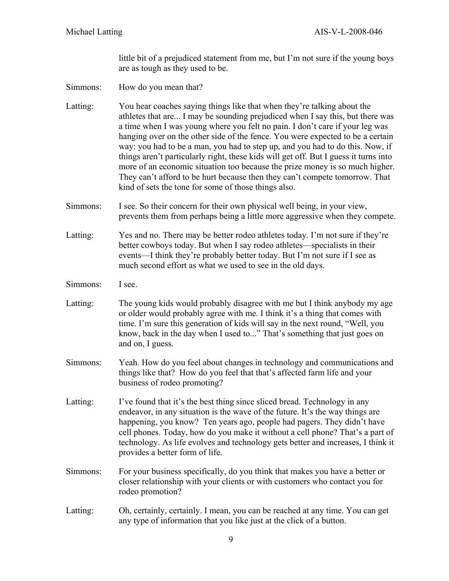little bit of a prejudiced statement from me, but I'm not sure if the young boys are as tough as they used to be.

Simmons: How do you mean that?

Latting: You hear coaches saying things like that when they're talking about the athletes that are... I may be sounding prejudiced when I say this, but there was a time when I was young where you felt no pain. I don't care if your leg was hanging over on the other side of the fence. You were expected to be a certain way: you had to be a man, you had to step up, and you had to do this. Now, if things aren't particularly right, these kids will get off. But I guess it turns into more of an economic situation too because the prize money is so much higher. They can't afford to be hurt because then they can't compete tomorrow. That kind of sets the tone for some of those things also.

- Simmons: I see. So their concern for their own physical well being, in your view, prevents them from perhaps being a little more aggressive when they compete.
- Latting: Yes and no. There may be better rodeo athletes today. I'm not sure if they're better cowboys today. But when I say rodeo athletes—specialists in their events—I think they're probably better today. But I'm not sure if I see as much second effort as what we used to see in the old days.
- Simmons: I see.
- Latting: The young kids would probably disagree with me but I think anybody my age or older would probably agree with me. I think it's a thing that comes with time. I'm sure this generation of kids will say in the next round, "Well, you know, back in the day when I used to..." That's something that just goes on and on, I guess.
- Simmons: Yeah. How do you feel about changes in technology and communications and things like that? How do you feel that that's affected farm life and your business of rodeo promoting?
- Latting: I've found that it's the best thing since sliced bread. Technology in any endeavor, in any situation is the wave of the future. It's the way things are happening, you know? Ten years ago, people had pagers. They didn't have cell phones. Today, how do you make it without a cell phone? That's a part of technology. As life evolves and technology gets better and increases, I think it provides a better form of life.
- Simmons: For your business specifically, do you think that makes you have a better or closer relationship with your clients or with customers who contact you for rodeo promotion?
- Latting: Oh, certainly, certainly. I mean, you can be reached at any time. You can get any type of information that you like just at the click of a button.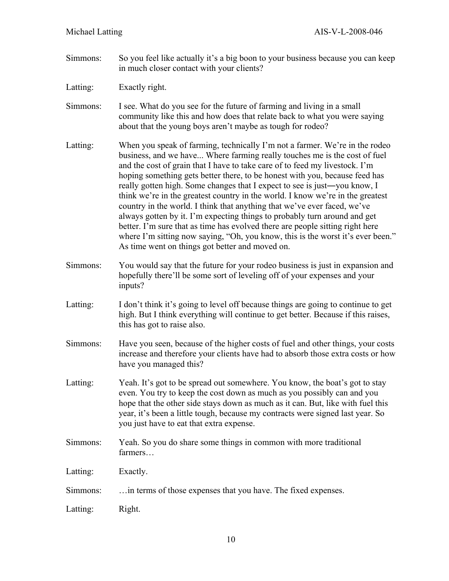Simmons: So you feel like actually it's a big boon to your business because you can keep in much closer contact with your clients?

Latting: Exactly right.

Simmons: I see. What do you see for the future of farming and living in a small community like this and how does that relate back to what you were saying about that the young boys aren't maybe as tough for rodeo?

Latting: When you speak of farming, technically I'm not a farmer. We're in the rodeo business, and we have... Where farming really touches me is the cost of fuel and the cost of grain that I have to take care of to feed my livestock. I'm hoping something gets better there, to be honest with you, because feed has really gotten high. Some changes that I expect to see is just―you know, I think we're in the greatest country in the world. I know we're in the greatest country in the world. I think that anything that we've ever faced, we've always gotten by it. I'm expecting things to probably turn around and get better. I'm sure that as time has evolved there are people sitting right here where I'm sitting now saying, "Oh, you know, this is the worst it's ever been." As time went on things got better and moved on.

- Simmons: You would say that the future for your rodeo business is just in expansion and hopefully there'll be some sort of leveling off of your expenses and your inputs?
- Latting: I don't think it's going to level off because things are going to continue to get high. But I think everything will continue to get better. Because if this raises, this has got to raise also.
- Simmons: Have you seen, because of the higher costs of fuel and other things, your costs increase and therefore your clients have had to absorb those extra costs or how have you managed this?
- Latting: Yeah. It's got to be spread out somewhere. You know, the boat's got to stay even. You try to keep the cost down as much as you possibly can and you hope that the other side stays down as much as it can. But, like with fuel this year, it's been a little tough, because my contracts were signed last year. So you just have to eat that extra expense.
- Simmons: Yeah. So you do share some things in common with more traditional farmers…

Latting: Exactly.

Simmons: …in terms of those expenses that you have. The fixed expenses.

Latting: Right.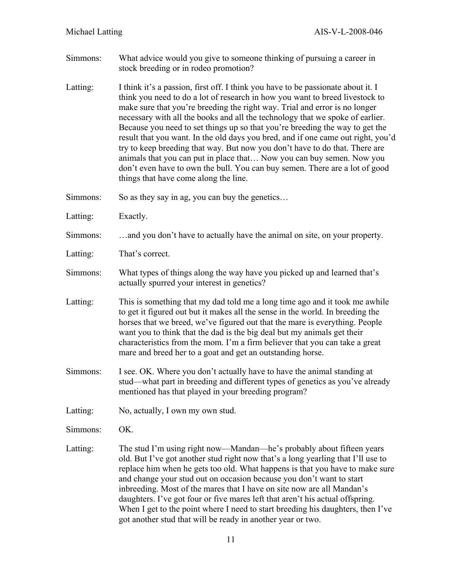- Simmons: What advice would you give to someone thinking of pursuing a career in stock breeding or in rodeo promotion?
- Latting: I think it's a passion, first off. I think you have to be passionate about it. I think you need to do a lot of research in how you want to breed livestock to make sure that you're breeding the right way. Trial and error is no longer necessary with all the books and all the technology that we spoke of earlier. Because you need to set things up so that you're breeding the way to get the result that you want. In the old days you bred, and if one came out right, you'd try to keep breeding that way. But now you don't have to do that. There are animals that you can put in place that… Now you can buy semen. Now you don't even have to own the bull. You can buy semen. There are a lot of good things that have come along the line.
- Simmons: So as they say in ag, you can buy the genetics...
- Latting: Exactly.
- Simmons: …and you don't have to actually have the animal on site, on your property.
- Latting: That's correct.
- Simmons: What types of things along the way have you picked up and learned that's actually spurred your interest in genetics?
- Latting: This is something that my dad told me a long time ago and it took me awhile to get it figured out but it makes all the sense in the world. In breeding the horses that we breed, we've figured out that the mare is everything. People want you to think that the dad is the big deal but my animals get their characteristics from the mom. I'm a firm believer that you can take a great mare and breed her to a goat and get an outstanding horse.
- Simmons: I see. OK. Where you don't actually have to have the animal standing at stud—what part in breeding and different types of genetics as you've already mentioned has that played in your breeding program?
- Latting: No, actually, I own my own stud.

Simmons: OK.

Latting: The stud I'm using right now—Mandan—he's probably about fifteen years old. But I've got another stud right now that's a long yearling that I'll use to replace him when he gets too old. What happens is that you have to make sure and change your stud out on occasion because you don't want to start inbreeding. Most of the mares that I have on site now are all Mandan's daughters. I've got four or five mares left that aren't his actual offspring. When I get to the point where I need to start breeding his daughters, then I've got another stud that will be ready in another year or two.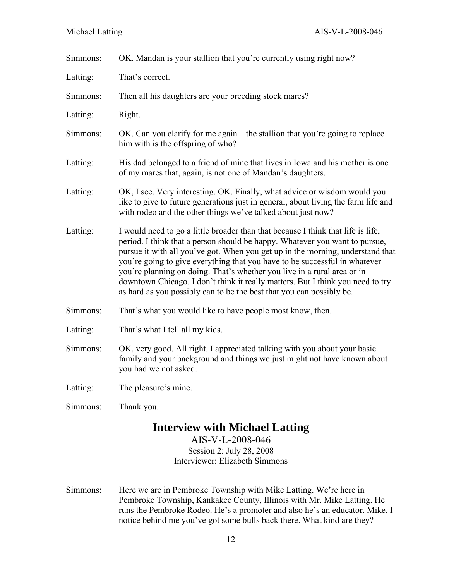| Simmons: | OK. Mandan is your stallion that you're currently using right now?                                                                                                                                                                                                                                                                                                                                                                                                                                                                                                   |
|----------|----------------------------------------------------------------------------------------------------------------------------------------------------------------------------------------------------------------------------------------------------------------------------------------------------------------------------------------------------------------------------------------------------------------------------------------------------------------------------------------------------------------------------------------------------------------------|
| Latting: | That's correct.                                                                                                                                                                                                                                                                                                                                                                                                                                                                                                                                                      |
| Simmons: | Then all his daughters are your breeding stock mares?                                                                                                                                                                                                                                                                                                                                                                                                                                                                                                                |
| Latting: | Right.                                                                                                                                                                                                                                                                                                                                                                                                                                                                                                                                                               |
| Simmons: | OK. Can you clarify for me again—the stallion that you're going to replace<br>him with is the offspring of who?                                                                                                                                                                                                                                                                                                                                                                                                                                                      |
| Latting: | His dad belonged to a friend of mine that lives in Iowa and his mother is one<br>of my mares that, again, is not one of Mandan's daughters.                                                                                                                                                                                                                                                                                                                                                                                                                          |
| Latting: | OK, I see. Very interesting. OK. Finally, what advice or wisdom would you<br>like to give to future generations just in general, about living the farm life and<br>with rodeo and the other things we've talked about just now?                                                                                                                                                                                                                                                                                                                                      |
| Latting: | I would need to go a little broader than that because I think that life is life,<br>period. I think that a person should be happy. Whatever you want to pursue,<br>pursue it with all you've got. When you get up in the morning, understand that<br>you're going to give everything that you have to be successful in whatever<br>you're planning on doing. That's whether you live in a rural area or in<br>downtown Chicago. I don't think it really matters. But I think you need to try<br>as hard as you possibly can to be the best that you can possibly be. |
| Simmons: | That's what you would like to have people most know, then.                                                                                                                                                                                                                                                                                                                                                                                                                                                                                                           |
| Latting: | That's what I tell all my kids.                                                                                                                                                                                                                                                                                                                                                                                                                                                                                                                                      |
| Simmons: | OK, very good. All right. I appreciated talking with you about your basic<br>family and your background and things we just might not have known about<br>you had we not asked.                                                                                                                                                                                                                                                                                                                                                                                       |
| Latting: | The pleasure's mine.                                                                                                                                                                                                                                                                                                                                                                                                                                                                                                                                                 |
| Simmons: | Thank you.                                                                                                                                                                                                                                                                                                                                                                                                                                                                                                                                                           |
|          | <b>Interview with Michael Latting</b>                                                                                                                                                                                                                                                                                                                                                                                                                                                                                                                                |

# AIS-V-L-2008-046 Session 2: July 28, 2008

Interviewer: Elizabeth Simmons

Simmons: Here we are in Pembroke Township with Mike Latting. We're here in Pembroke Township, Kankakee County, Illinois with Mr. Mike Latting. He runs the Pembroke Rodeo. He's a promoter and also he's an educator. Mike, I notice behind me you've got some bulls back there. What kind are they?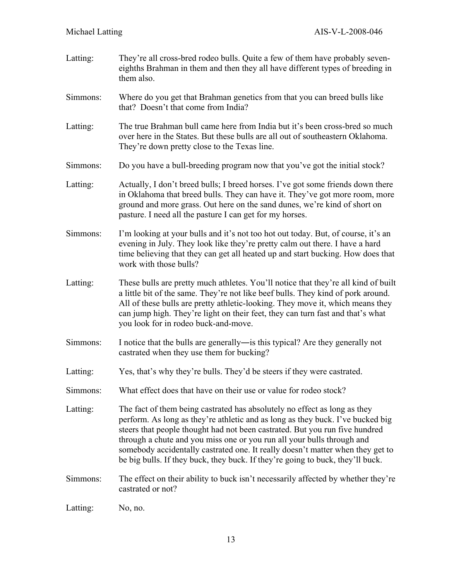Latting: They're all cross-bred rodeo bulls. Quite a few of them have probably seveneighths Brahman in them and then they all have different types of breeding in them also. Simmons: Where do you get that Brahman genetics from that you can breed bulls like that? Doesn't that come from India? Latting: The true Brahman bull came here from India but it's been cross-bred so much over here in the States. But these bulls are all out of southeastern Oklahoma. They're down pretty close to the Texas line. Simmons: Do you have a bull-breeding program now that you've got the initial stock? Latting: Actually, I don't breed bulls; I breed horses. I've got some friends down there in Oklahoma that breed bulls. They can have it. They've got more room, more ground and more grass. Out here on the sand dunes, we're kind of short on pasture. I need all the pasture I can get for my horses. Simmons: I'm looking at your bulls and it's not too hot out today. But, of course, it's an evening in July. They look like they're pretty calm out there. I have a hard time believing that they can get all heated up and start bucking. How does that work with those bulls? Latting: These bulls are pretty much athletes. You'll notice that they're all kind of built a little bit of the same. They're not like beef bulls. They kind of pork around. All of these bulls are pretty athletic-looking. They move it, which means they can jump high. They're light on their feet, they can turn fast and that's what you look for in rodeo buck-and-move. Simmons: I notice that the bulls are generally―is this typical? Are they generally not castrated when they use them for bucking? Latting: Yes, that's why they're bulls. They'd be steers if they were castrated. Simmons: What effect does that have on their use or value for rodeo stock? Latting: The fact of them being castrated has absolutely no effect as long as they perform. As long as they're athletic and as long as they buck. I've bucked big steers that people thought had not been castrated. But you run five hundred through a chute and you miss one or you run all your bulls through and somebody accidentally castrated one. It really doesn't matter when they get to be big bulls. If they buck, they buck. If they're going to buck, they'll buck. Simmons: The effect on their ability to buck isn't necessarily affected by whether they're castrated or not? Latting: No, no.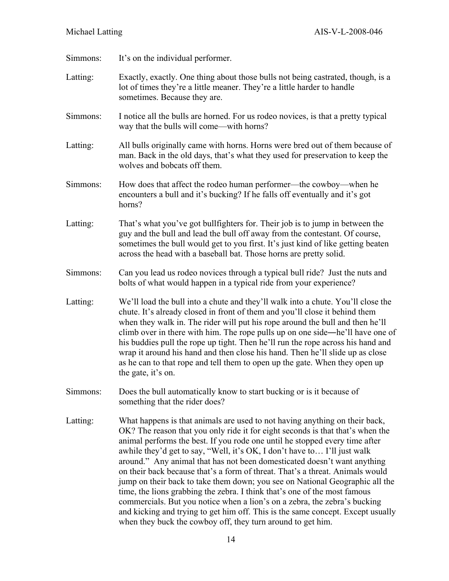Simmons: It's on the individual performer. Latting: Exactly, exactly. One thing about those bulls not being castrated, though, is a lot of times they're a little meaner. They're a little harder to handle sometimes. Because they are. Simmons: I notice all the bulls are horned. For us rodeo novices, is that a pretty typical way that the bulls will come—with horns? Latting: All bulls originally came with horns. Horns were bred out of them because of man. Back in the old days, that's what they used for preservation to keep the wolves and bobcats off them. Simmons: How does that affect the rodeo human performer—the cowboy—when he encounters a bull and it's bucking? If he falls off eventually and it's got horns? Latting: That's what you've got bullfighters for. Their job is to jump in between the guy and the bull and lead the bull off away from the contestant. Of course, sometimes the bull would get to you first. It's just kind of like getting beaten across the head with a baseball bat. Those horns are pretty solid. Simmons: Can you lead us rodeo novices through a typical bull ride? Just the nuts and bolts of what would happen in a typical ride from your experience? Latting: We'll load the bull into a chute and they'll walk into a chute. You'll close the chute. It's already closed in front of them and you'll close it behind them when they walk in. The rider will put his rope around the bull and then he'll climb over in there with him. The rope pulls up on one side―he'll have one of his buddies pull the rope up tight. Then he'll run the rope across his hand and wrap it around his hand and then close his hand. Then he'll slide up as close as he can to that rope and tell them to open up the gate. When they open up the gate, it's on. Simmons: Does the bull automatically know to start bucking or is it because of something that the rider does? Latting: What happens is that animals are used to not having anything on their back, OK? The reason that you only ride it for eight seconds is that that's when the animal performs the best. If you rode one until he stopped every time after awhile they'd get to say, "Well, it's OK, I don't have to… I'll just walk around." Any animal that has not been domesticated doesn't want anything on their back because that's a form of threat. That's a threat. Animals would jump on their back to take them down; you see on National Geographic all the time, the lions grabbing the zebra. I think that's one of the most famous commercials. But you notice when a lion's on a zebra, the zebra's bucking and kicking and trying to get him off. This is the same concept. Except usually when they buck the cowboy off, they turn around to get him.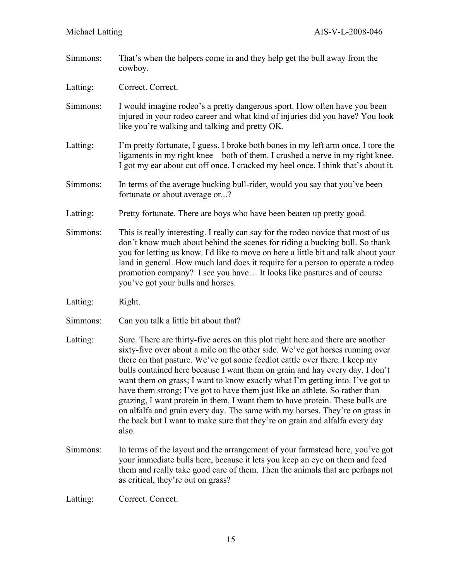Simmons: That's when the helpers come in and they help get the bull away from the cowboy.

Latting: Correct. Correct.

- Simmons: I would imagine rodeo's a pretty dangerous sport. How often have you been injured in your rodeo career and what kind of injuries did you have? You look like you're walking and talking and pretty OK.
- Latting: I'm pretty fortunate, I guess. I broke both bones in my left arm once. I tore the ligaments in my right knee—both of them. I crushed a nerve in my right knee. I got my ear about cut off once. I cracked my heel once. I think that's about it.
- Simmons: In terms of the average bucking bull-rider, would you say that you've been fortunate or about average or...?
- Latting: Pretty fortunate. There are boys who have been beaten up pretty good.
- Simmons: This is really interesting. I really can say for the rodeo novice that most of us don't know much about behind the scenes for riding a bucking bull. So thank you for letting us know. I'd like to move on here a little bit and talk about your land in general. How much land does it require for a person to operate a rodeo promotion company? I see you have… It looks like pastures and of course you've got your bulls and horses.
- Latting: Right.
- Simmons: Can you talk a little bit about that?
- Latting: Sure. There are thirty-five acres on this plot right here and there are another sixty-five over about a mile on the other side. We've got horses running over there on that pasture. We've got some feedlot cattle over there. I keep my bulls contained here because I want them on grain and hay every day. I don't want them on grass; I want to know exactly what I'm getting into. I've got to have them strong; I've got to have them just like an athlete. So rather than grazing, I want protein in them. I want them to have protein. These bulls are on alfalfa and grain every day. The same with my horses. They're on grass in the back but I want to make sure that they're on grain and alfalfa every day also.
- Simmons: In terms of the layout and the arrangement of your farmstead here, you've got your immediate bulls here, because it lets you keep an eye on them and feed them and really take good care of them. Then the animals that are perhaps not as critical, they're out on grass?

Latting: Correct. Correct.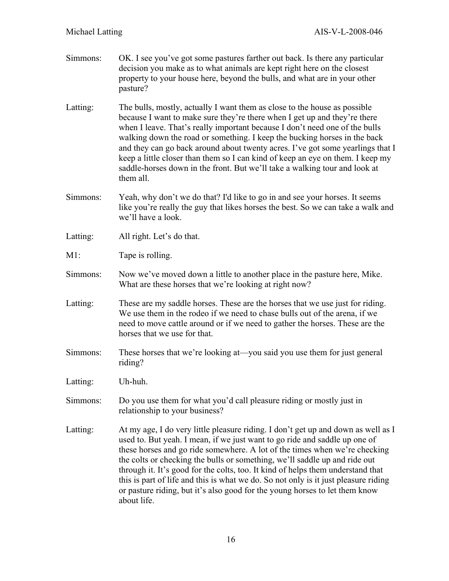- Simmons: OK. I see you've got some pastures farther out back. Is there any particular decision you make as to what animals are kept right here on the closest property to your house here, beyond the bulls, and what are in your other pasture? Latting: The bulls, mostly, actually I want them as close to the house as possible because I want to make sure they're there when I get up and they're there when I leave. That's really important because I don't need one of the bulls walking down the road or something. I keep the bucking horses in the back and they can go back around about twenty acres. I've got some yearlings that I keep a little closer than them so I can kind of keep an eye on them. I keep my saddle-horses down in the front. But we'll take a walking tour and look at them all. Simmons: Yeah, why don't we do that? I'd like to go in and see your horses. It seems like you're really the guy that likes horses the best. So we can take a walk and we'll have a look. Latting: All right. Let's do that. M1: Tape is rolling. Simmons: Now we've moved down a little to another place in the pasture here, Mike. What are these horses that we're looking at right now? Latting: These are my saddle horses. These are the horses that we use just for riding. We use them in the rodeo if we need to chase bulls out of the arena, if we need to move cattle around or if we need to gather the horses. These are the horses that we use for that. Simmons: These horses that we're looking at—you said you use them for just general riding? Latting: Uh-huh. Simmons: Do you use them for what you'd call pleasure riding or mostly just in relationship to your business?
- Latting: At my age, I do very little pleasure riding. I don't get up and down as well as I used to. But yeah. I mean, if we just want to go ride and saddle up one of these horses and go ride somewhere. A lot of the times when we're checking the colts or checking the bulls or something, we'll saddle up and ride out through it. It's good for the colts, too. It kind of helps them understand that this is part of life and this is what we do. So not only is it just pleasure riding or pasture riding, but it's also good for the young horses to let them know about life.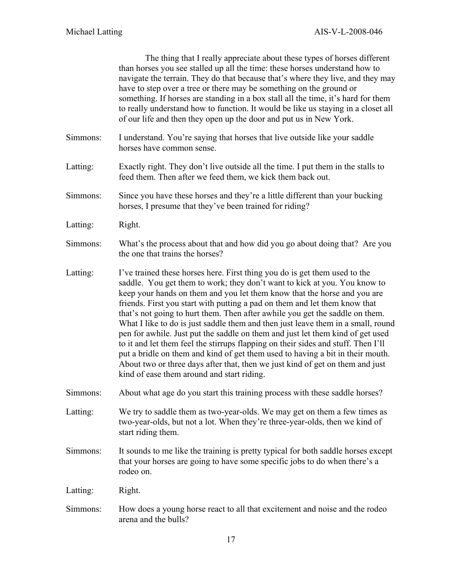|          | The thing that I really appreciate about these types of horses different<br>than horses you see stalled up all the time: these horses understand how to<br>navigate the terrain. They do that because that's where they live, and they may<br>have to step over a tree or there may be something on the ground or<br>something. If horses are standing in a box stall all the time, it's hard for them<br>to really understand how to function. It would be like us staying in a closet all<br>of our life and then they open up the door and put us in New York.                                                                                                                                                                                                                                                                                                             |
|----------|-------------------------------------------------------------------------------------------------------------------------------------------------------------------------------------------------------------------------------------------------------------------------------------------------------------------------------------------------------------------------------------------------------------------------------------------------------------------------------------------------------------------------------------------------------------------------------------------------------------------------------------------------------------------------------------------------------------------------------------------------------------------------------------------------------------------------------------------------------------------------------|
| Simmons: | I understand. You're saying that horses that live outside like your saddle<br>horses have common sense.                                                                                                                                                                                                                                                                                                                                                                                                                                                                                                                                                                                                                                                                                                                                                                       |
| Latting: | Exactly right. They don't live outside all the time. I put them in the stalls to<br>feed them. Then after we feed them, we kick them back out.                                                                                                                                                                                                                                                                                                                                                                                                                                                                                                                                                                                                                                                                                                                                |
| Simmons: | Since you have these horses and they're a little different than your bucking<br>horses, I presume that they've been trained for riding?                                                                                                                                                                                                                                                                                                                                                                                                                                                                                                                                                                                                                                                                                                                                       |
| Latting: | Right.                                                                                                                                                                                                                                                                                                                                                                                                                                                                                                                                                                                                                                                                                                                                                                                                                                                                        |
| Simmons: | What's the process about that and how did you go about doing that? Are you<br>the one that trains the horses?                                                                                                                                                                                                                                                                                                                                                                                                                                                                                                                                                                                                                                                                                                                                                                 |
| Latting: | I've trained these horses here. First thing you do is get them used to the<br>saddle. You get them to work; they don't want to kick at you. You know to<br>keep your hands on them and you let them know that the horse and you are<br>friends. First you start with putting a pad on them and let them know that<br>that's not going to hurt them. Then after awhile you get the saddle on them.<br>What I like to do is just saddle them and then just leave them in a small, round<br>pen for awhile. Just put the saddle on them and just let them kind of get used<br>to it and let them feel the stirrups flapping on their sides and stuff. Then I'll<br>put a bridle on them and kind of get them used to having a bit in their mouth.<br>About two or three days after that, then we just kind of get on them and just<br>kind of ease them around and start riding. |
| Simmons: | About what age do you start this training process with these saddle horses?                                                                                                                                                                                                                                                                                                                                                                                                                                                                                                                                                                                                                                                                                                                                                                                                   |
| Latting: | We try to saddle them as two-year-olds. We may get on them a few times as<br>two-year-olds, but not a lot. When they're three-year-olds, then we kind of<br>start riding them.                                                                                                                                                                                                                                                                                                                                                                                                                                                                                                                                                                                                                                                                                                |
| Simmons: | It sounds to me like the training is pretty typical for both saddle horses except<br>that your horses are going to have some specific jobs to do when there's a<br>rodeo on.                                                                                                                                                                                                                                                                                                                                                                                                                                                                                                                                                                                                                                                                                                  |
| Latting: | Right.                                                                                                                                                                                                                                                                                                                                                                                                                                                                                                                                                                                                                                                                                                                                                                                                                                                                        |
| Simmons: | How does a young horse react to all that excitement and noise and the rodeo<br>arena and the bulls?                                                                                                                                                                                                                                                                                                                                                                                                                                                                                                                                                                                                                                                                                                                                                                           |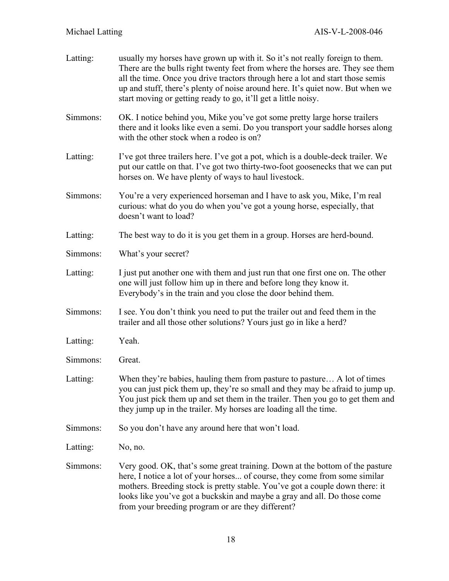| Latting: | usually my horses have grown up with it. So it's not really foreign to them.<br>There are the bulls right twenty feet from where the horses are. They see them<br>all the time. Once you drive tractors through here a lot and start those semis<br>up and stuff, there's plenty of noise around here. It's quiet now. But when we<br>start moving or getting ready to go, it'll get a little noisy. |
|----------|------------------------------------------------------------------------------------------------------------------------------------------------------------------------------------------------------------------------------------------------------------------------------------------------------------------------------------------------------------------------------------------------------|
| Simmons: | OK. I notice behind you, Mike you've got some pretty large horse trailers<br>there and it looks like even a semi. Do you transport your saddle horses along<br>with the other stock when a rodeo is on?                                                                                                                                                                                              |
| Latting: | I've got three trailers here. I've got a pot, which is a double-deck trailer. We<br>put our cattle on that. I've got two thirty-two-foot goosenecks that we can put<br>horses on. We have plenty of ways to haul livestock.                                                                                                                                                                          |
| Simmons: | You're a very experienced horseman and I have to ask you, Mike, I'm real<br>curious: what do you do when you've got a young horse, especially, that<br>doesn't want to load?                                                                                                                                                                                                                         |
| Latting: | The best way to do it is you get them in a group. Horses are herd-bound.                                                                                                                                                                                                                                                                                                                             |
| Simmons: | What's your secret?                                                                                                                                                                                                                                                                                                                                                                                  |
| Latting: | I just put another one with them and just run that one first one on. The other<br>one will just follow him up in there and before long they know it.<br>Everybody's in the train and you close the door behind them.                                                                                                                                                                                 |
| Simmons: | I see. You don't think you need to put the trailer out and feed them in the<br>trailer and all those other solutions? Yours just go in like a herd?                                                                                                                                                                                                                                                  |
| Latting: | Yeah.                                                                                                                                                                                                                                                                                                                                                                                                |
| Simmons: | Great.                                                                                                                                                                                                                                                                                                                                                                                               |
| Latting: | When they're babies, hauling them from pasture to pasture A lot of times<br>you can just pick them up, they're so small and they may be afraid to jump up.<br>You just pick them up and set them in the trailer. Then you go to get them and<br>they jump up in the trailer. My horses are loading all the time.                                                                                     |
| Simmons: | So you don't have any around here that won't load.                                                                                                                                                                                                                                                                                                                                                   |
| Latting: | No, no.                                                                                                                                                                                                                                                                                                                                                                                              |
| Simmons: | Very good. OK, that's some great training. Down at the bottom of the pasture<br>here, I notice a lot of your horses of course, they come from some similar<br>mothers. Breeding stock is pretty stable. You've got a couple down there: it<br>looks like you've got a buckskin and maybe a gray and all. Do those come<br>from your breeding program or are they different?                          |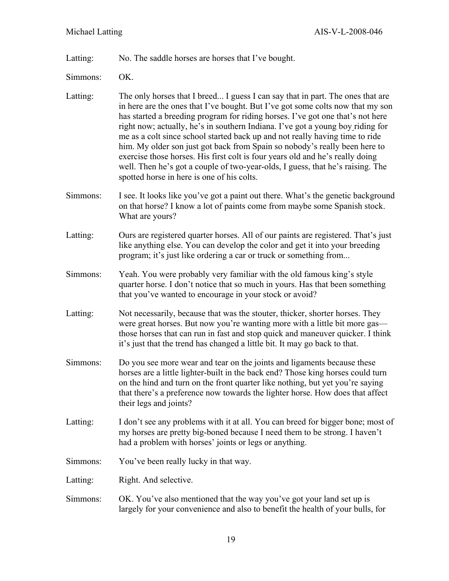Latting: No. The saddle horses are horses that I've bought.

- Simmons: OK.
- Latting: The only horses that I breed... I guess I can say that in part. The ones that are in here are the ones that I've bought. But I've got some colts now that my son has started a breeding program for riding horses. I've got one that's not here right now; actually, he's in southern Indiana. I've got a young boy riding for me as a colt since school started back up and not really having time to ride him. My older son just got back from Spain so nobody's really been here to exercise those horses. His first colt is four years old and he's really doing well. Then he's got a couple of two-year-olds, I guess, that he's raising. The spotted horse in here is one of his colts.
- Simmons: I see. It looks like you've got a paint out there. What's the genetic background on that horse? I know a lot of paints come from maybe some Spanish stock. What are yours?
- Latting: Ours are registered quarter horses. All of our paints are registered. That's just like anything else. You can develop the color and get it into your breeding program; it's just like ordering a car or truck or something from...
- Simmons: Yeah. You were probably very familiar with the old famous king's style quarter horse. I don't notice that so much in yours. Has that been something that you've wanted to encourage in your stock or avoid?
- Latting: Not necessarily, because that was the stouter, thicker, shorter horses. They were great horses. But now you're wanting more with a little bit more gas those horses that can run in fast and stop quick and maneuver quicker. I think it's just that the trend has changed a little bit. It may go back to that.
- Simmons: Do you see more wear and tear on the joints and ligaments because these horses are a little lighter-built in the back end? Those king horses could turn on the hind and turn on the front quarter like nothing, but yet you're saying that there's a preference now towards the lighter horse. How does that affect their legs and joints?
- Latting: I don't see any problems with it at all. You can breed for bigger bone; most of my horses are pretty big-boned because I need them to be strong. I haven't had a problem with horses' joints or legs or anything.
- Simmons: You've been really lucky in that way.
- Latting: Right. And selective.
- Simmons: OK. You've also mentioned that the way you've got your land set up is largely for your convenience and also to benefit the health of your bulls, for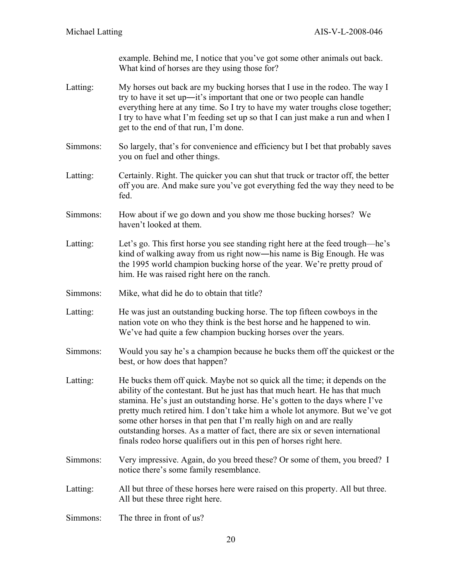example. Behind me, I notice that you've got some other animals out back. What kind of horses are they using those for?

- Latting: My horses out back are my bucking horses that I use in the rodeo. The way I try to have it set up―it's important that one or two people can handle everything here at any time. So I try to have my water troughs close together; I try to have what I'm feeding set up so that I can just make a run and when I get to the end of that run, I'm done.
- Simmons: So largely, that's for convenience and efficiency but I bet that probably saves you on fuel and other things.
- Latting: Certainly. Right. The quicker you can shut that truck or tractor off, the better off you are. And make sure you've got everything fed the way they need to be fed.
- Simmons: How about if we go down and you show me those bucking horses? We haven't looked at them.
- Latting: Let's go. This first horse you see standing right here at the feed trough—he's kind of walking away from us right now―his name is Big Enough. He was the 1995 world champion bucking horse of the year. We're pretty proud of him. He was raised right here on the ranch.
- Simmons: Mike, what did he do to obtain that title?
- Latting: He was just an outstanding bucking horse. The top fifteen cowboys in the nation vote on who they think is the best horse and he happened to win. We've had quite a few champion bucking horses over the years.
- Simmons: Would you say he's a champion because he bucks them off the quickest or the best, or how does that happen?
- Latting: He bucks them off quick. Maybe not so quick all the time; it depends on the ability of the contestant. But he just has that much heart. He has that much stamina. He's just an outstanding horse. He's gotten to the days where I've pretty much retired him. I don't take him a whole lot anymore. But we've got some other horses in that pen that I'm really high on and are really outstanding horses. As a matter of fact, there are six or seven international finals rodeo horse qualifiers out in this pen of horses right here.
- Simmons: Very impressive. Again, do you breed these? Or some of them, you breed? I notice there's some family resemblance.
- Latting: All but three of these horses here were raised on this property. All but three. All but these three right here.
- Simmons: The three in front of us?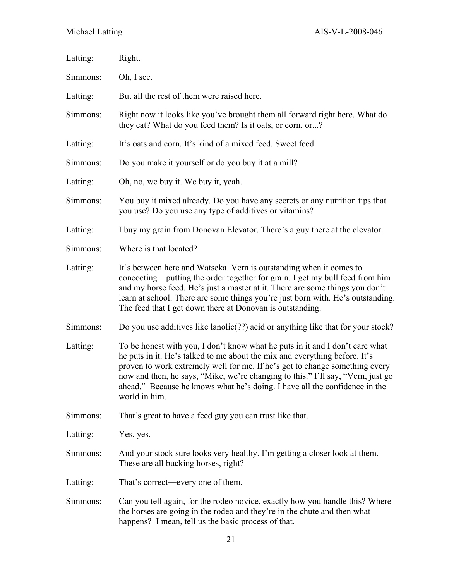| Latting: | Right.                                                                                                                                                                                                                                                                                                                                                                                                                      |
|----------|-----------------------------------------------------------------------------------------------------------------------------------------------------------------------------------------------------------------------------------------------------------------------------------------------------------------------------------------------------------------------------------------------------------------------------|
| Simmons: | Oh, I see.                                                                                                                                                                                                                                                                                                                                                                                                                  |
| Latting: | But all the rest of them were raised here.                                                                                                                                                                                                                                                                                                                                                                                  |
| Simmons: | Right now it looks like you've brought them all forward right here. What do<br>they eat? What do you feed them? Is it oats, or corn, or?                                                                                                                                                                                                                                                                                    |
| Latting: | It's oats and corn. It's kind of a mixed feed. Sweet feed.                                                                                                                                                                                                                                                                                                                                                                  |
| Simmons: | Do you make it yourself or do you buy it at a mill?                                                                                                                                                                                                                                                                                                                                                                         |
| Latting: | Oh, no, we buy it. We buy it, yeah.                                                                                                                                                                                                                                                                                                                                                                                         |
| Simmons: | You buy it mixed already. Do you have any secrets or any nutrition tips that<br>you use? Do you use any type of additives or vitamins?                                                                                                                                                                                                                                                                                      |
| Latting: | I buy my grain from Donovan Elevator. There's a guy there at the elevator.                                                                                                                                                                                                                                                                                                                                                  |
| Simmons: | Where is that located?                                                                                                                                                                                                                                                                                                                                                                                                      |
| Latting: | It's between here and Watseka. Vern is outstanding when it comes to<br>concocting—putting the order together for grain. I get my bull feed from him<br>and my horse feed. He's just a master at it. There are some things you don't<br>learn at school. There are some things you're just born with. He's outstanding.<br>The feed that I get down there at Donovan is outstanding.                                         |
| Simmons: | Do you use additives like <u>lanolic(??)</u> acid or anything like that for your stock?                                                                                                                                                                                                                                                                                                                                     |
| Latting: | To be honest with you, I don't know what he puts in it and I don't care what<br>he puts in it. He's talked to me about the mix and everything before. It's<br>proven to work extremely well for me. If he's got to change something every<br>now and then, he says, "Mike, we're changing to this." I'll say, "Vern, just go<br>ahead." Because he knows what he's doing. I have all the confidence in the<br>world in him. |
| Simmons: | That's great to have a feed guy you can trust like that.                                                                                                                                                                                                                                                                                                                                                                    |
| Latting: | Yes, yes.                                                                                                                                                                                                                                                                                                                                                                                                                   |
| Simmons: | And your stock sure looks very healthy. I'm getting a closer look at them.<br>These are all bucking horses, right?                                                                                                                                                                                                                                                                                                          |
| Latting: | That's correct—every one of them.                                                                                                                                                                                                                                                                                                                                                                                           |
| Simmons: | Can you tell again, for the rodeo novice, exactly how you handle this? Where<br>the horses are going in the rodeo and they're in the chute and then what<br>happens? I mean, tell us the basic process of that.                                                                                                                                                                                                             |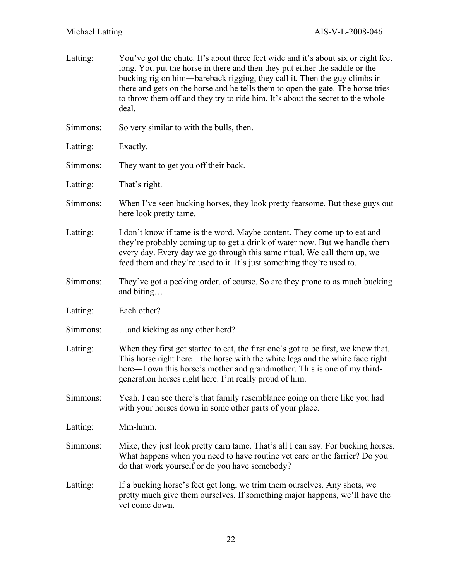| Latting: | You've got the chute. It's about three feet wide and it's about six or eight feet<br>long. You put the horse in there and then they put either the saddle or the<br>bucking rig on him—bareback rigging, they call it. Then the guy climbs in<br>there and gets on the horse and he tells them to open the gate. The horse tries<br>to throw them off and they try to ride him. It's about the secret to the whole<br>deal. |
|----------|-----------------------------------------------------------------------------------------------------------------------------------------------------------------------------------------------------------------------------------------------------------------------------------------------------------------------------------------------------------------------------------------------------------------------------|
| Simmons: | So very similar to with the bulls, then.                                                                                                                                                                                                                                                                                                                                                                                    |
| Latting: | Exactly.                                                                                                                                                                                                                                                                                                                                                                                                                    |
| Simmons: | They want to get you off their back.                                                                                                                                                                                                                                                                                                                                                                                        |
| Latting: | That's right.                                                                                                                                                                                                                                                                                                                                                                                                               |
| Simmons: | When I've seen bucking horses, they look pretty fearsome. But these guys out<br>here look pretty tame.                                                                                                                                                                                                                                                                                                                      |
| Latting: | I don't know if tame is the word. Maybe content. They come up to eat and<br>they're probably coming up to get a drink of water now. But we handle them<br>every day. Every day we go through this same ritual. We call them up, we<br>feed them and they're used to it. It's just something they're used to.                                                                                                                |
| Simmons: | They've got a pecking order, of course. So are they prone to as much bucking<br>and biting                                                                                                                                                                                                                                                                                                                                  |
| Latting: | Each other?                                                                                                                                                                                                                                                                                                                                                                                                                 |
| Simmons: | and kicking as any other herd?                                                                                                                                                                                                                                                                                                                                                                                              |
| Latting: | When they first get started to eat, the first one's got to be first, we know that.<br>This horse right here—the horse with the white legs and the white face right<br>here—I own this horse's mother and grandmother. This is one of my third-<br>generation horses right here. I'm really proud of him                                                                                                                     |
| Simmons: | Yeah. I can see there's that family resemblance going on there like you had<br>with your horses down in some other parts of your place.                                                                                                                                                                                                                                                                                     |
| Latting: | Mm-hmm.                                                                                                                                                                                                                                                                                                                                                                                                                     |
| Simmons: | Mike, they just look pretty darn tame. That's all I can say. For bucking horses.<br>What happens when you need to have routine vet care or the farrier? Do you<br>do that work yourself or do you have somebody?                                                                                                                                                                                                            |
| Latting: | If a bucking horse's feet get long, we trim them ourselves. Any shots, we<br>pretty much give them ourselves. If something major happens, we'll have the<br>vet come down.                                                                                                                                                                                                                                                  |
|          |                                                                                                                                                                                                                                                                                                                                                                                                                             |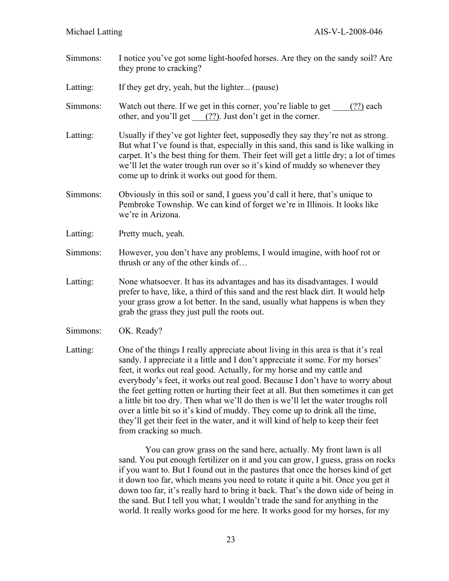- Simmons: I notice you've got some light-hoofed horses. Are they on the sandy soil? Are they prone to cracking?
- Latting: If they get dry, yeah, but the lighter... (pause)
- Simmons: Watch out there. If we get in this corner, you're liable to get  $(?)$  each other, and you'll get \_\_\_(??). Just don't get in the corner.
- Latting: Usually if they've got lighter feet, supposedly they say they're not as strong. But what I've found is that, especially in this sand, this sand is like walking in carpet. It's the best thing for them. Their feet will get a little dry; a lot of times we'll let the water trough run over so it's kind of muddy so whenever they come up to drink it works out good for them.
- Simmons: Obviously in this soil or sand, I guess you'd call it here, that's unique to Pembroke Township. We can kind of forget we're in Illinois. It looks like we're in Arizona.
- Latting: Pretty much, yeah.
- Simmons: However, you don't have any problems, I would imagine, with hoof rot or thrush or any of the other kinds of…
- Latting: None whatsoever. It has its advantages and has its disadvantages. I would prefer to have, like, a third of this sand and the rest black dirt. It would help your grass grow a lot better. In the sand, usually what happens is when they grab the grass they just pull the roots out.
- Simmons: OK. Ready?
- Latting: One of the things I really appreciate about living in this area is that it's real sandy. I appreciate it a little and I don't appreciate it some. For my horses' feet, it works out real good. Actually, for my horse and my cattle and everybody's feet, it works out real good. Because I don't have to worry about the feet getting rotten or hurting their feet at all. But then sometimes it can get a little bit too dry. Then what we'll do then is we'll let the water troughs roll over a little bit so it's kind of muddy. They come up to drink all the time, they'll get their feet in the water, and it will kind of help to keep their feet from cracking so much.

You can grow grass on the sand here, actually. My front lawn is all sand. You put enough fertilizer on it and you can grow, I guess, grass on rocks if you want to. But I found out in the pastures that once the horses kind of get it down too far, which means you need to rotate it quite a bit. Once you get it down too far, it's really hard to bring it back. That's the down side of being in the sand. But I tell you what; I wouldn't trade the sand for anything in the world. It really works good for me here. It works good for my horses, for my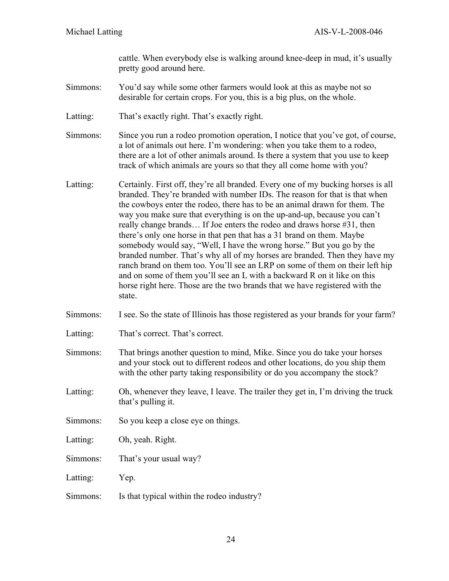cattle. When everybody else is walking around knee-deep in mud, it's usually pretty good around here.

- Simmons: You'd say while some other farmers would look at this as maybe not so desirable for certain crops. For you, this is a big plus, on the whole.
- Latting: That's exactly right. That's exactly right.
- Simmons: Since you run a rodeo promotion operation, I notice that you've got, of course, a lot of animals out here. I'm wondering: when you take them to a rodeo, there are a lot of other animals around. Is there a system that you use to keep track of which animals are yours so that they all come home with you?
- Latting: Certainly. First off, they're all branded. Every one of my bucking horses is all branded. They're branded with number IDs. The reason for that is that when the cowboys enter the rodeo, there has to be an animal drawn for them. The way you make sure that everything is on the up-and-up, because you can't really change brands… If Joe enters the rodeo and draws horse #31, then there's only one horse in that pen that has a 31 brand on them. Maybe somebody would say, "Well, I have the wrong horse." But you go by the branded number. That's why all of my horses are branded. Then they have my ranch brand on them too. You'll see an LRP on some of them on their left hip and on some of them you'll see an L with a backward R on it like on this horse right here. Those are the two brands that we have registered with the state.
- Simmons: I see. So the state of Illinois has those registered as your brands for your farm?
- Latting: That's correct. That's correct.
- Simmons: That brings another question to mind, Mike. Since you do take your horses and your stock out to different rodeos and other locations, do you ship them with the other party taking responsibility or do you accompany the stock?
- Latting: Oh, whenever they leave, I leave. The trailer they get in, I'm driving the truck that's pulling it.
- Simmons: So you keep a close eye on things.
- Latting: Oh, yeah. Right.
- Simmons: That's your usual way?
- Latting: Yep.
- Simmons: Is that typical within the rodeo industry?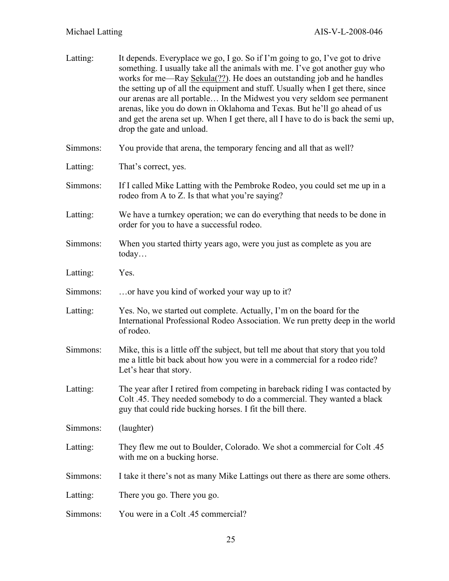| Latting: | It depends. Everyplace we go, I go. So if I'm going to go, I've got to drive<br>something. I usually take all the animals with me. I've got another guy who<br>works for me—Ray Sekula(??). He does an outstanding job and he handles<br>the setting up of all the equipment and stuff. Usually when I get there, since<br>our arenas are all portable In the Midwest you very seldom see permanent<br>arenas, like you do down in Oklahoma and Texas. But he'll go ahead of us<br>and get the arena set up. When I get there, all I have to do is back the semi up,<br>drop the gate and unload. |
|----------|---------------------------------------------------------------------------------------------------------------------------------------------------------------------------------------------------------------------------------------------------------------------------------------------------------------------------------------------------------------------------------------------------------------------------------------------------------------------------------------------------------------------------------------------------------------------------------------------------|
| Simmons: | You provide that arena, the temporary fencing and all that as well?                                                                                                                                                                                                                                                                                                                                                                                                                                                                                                                               |
| Latting: | That's correct, yes.                                                                                                                                                                                                                                                                                                                                                                                                                                                                                                                                                                              |
| Simmons: | If I called Mike Latting with the Pembroke Rodeo, you could set me up in a<br>rodeo from A to Z. Is that what you're saying?                                                                                                                                                                                                                                                                                                                                                                                                                                                                      |
| Latting: | We have a turnkey operation; we can do everything that needs to be done in<br>order for you to have a successful rodeo.                                                                                                                                                                                                                                                                                                                                                                                                                                                                           |
| Simmons: | When you started thirty years ago, were you just as complete as you are<br>today                                                                                                                                                                                                                                                                                                                                                                                                                                                                                                                  |
| Latting: | Yes.                                                                                                                                                                                                                                                                                                                                                                                                                                                                                                                                                                                              |
| Simmons: | or have you kind of worked your way up to it?                                                                                                                                                                                                                                                                                                                                                                                                                                                                                                                                                     |
| Latting: | Yes. No, we started out complete. Actually, I'm on the board for the<br>International Professional Rodeo Association. We run pretty deep in the world<br>of rodeo.                                                                                                                                                                                                                                                                                                                                                                                                                                |
| Simmons: | Mike, this is a little off the subject, but tell me about that story that you told<br>me a little bit back about how you were in a commercial for a rodeo ride?<br>Let's hear that story.                                                                                                                                                                                                                                                                                                                                                                                                         |
| Latting: | The year after I retired from competing in bareback riding I was contacted by<br>Colt .45. They needed somebody to do a commercial. They wanted a black<br>guy that could ride bucking horses. I fit the bill there.                                                                                                                                                                                                                                                                                                                                                                              |
| Simmons: | (laughter)                                                                                                                                                                                                                                                                                                                                                                                                                                                                                                                                                                                        |
| Latting: | They flew me out to Boulder, Colorado. We shot a commercial for Colt .45<br>with me on a bucking horse.                                                                                                                                                                                                                                                                                                                                                                                                                                                                                           |
| Simmons: | I take it there's not as many Mike Lattings out there as there are some others.                                                                                                                                                                                                                                                                                                                                                                                                                                                                                                                   |
| Latting: | There you go. There you go.                                                                                                                                                                                                                                                                                                                                                                                                                                                                                                                                                                       |
| Simmons: | You were in a Colt .45 commercial?                                                                                                                                                                                                                                                                                                                                                                                                                                                                                                                                                                |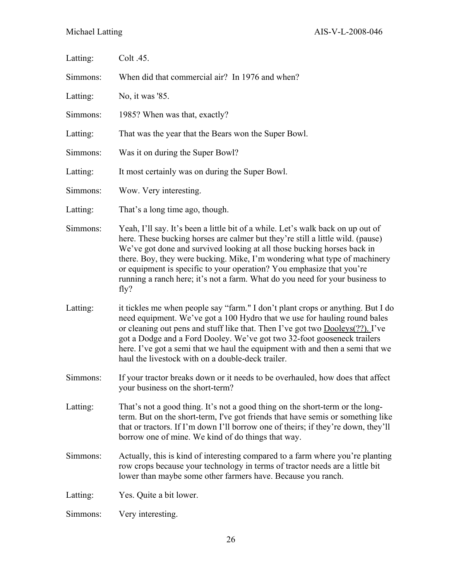| Latting: | Colt .45.                                                                                                                                                                                                                                                                                                                                                                                                                                                                                  |
|----------|--------------------------------------------------------------------------------------------------------------------------------------------------------------------------------------------------------------------------------------------------------------------------------------------------------------------------------------------------------------------------------------------------------------------------------------------------------------------------------------------|
| Simmons: | When did that commercial air? In 1976 and when?                                                                                                                                                                                                                                                                                                                                                                                                                                            |
| Latting: | No, it was '85.                                                                                                                                                                                                                                                                                                                                                                                                                                                                            |
| Simmons: | 1985? When was that, exactly?                                                                                                                                                                                                                                                                                                                                                                                                                                                              |
| Latting: | That was the year that the Bears won the Super Bowl.                                                                                                                                                                                                                                                                                                                                                                                                                                       |
| Simmons: | Was it on during the Super Bowl?                                                                                                                                                                                                                                                                                                                                                                                                                                                           |
| Latting: | It most certainly was on during the Super Bowl.                                                                                                                                                                                                                                                                                                                                                                                                                                            |
| Simmons: | Wow. Very interesting.                                                                                                                                                                                                                                                                                                                                                                                                                                                                     |
| Latting: | That's a long time ago, though.                                                                                                                                                                                                                                                                                                                                                                                                                                                            |
| Simmons: | Yeah, I'll say. It's been a little bit of a while. Let's walk back on up out of<br>here. These bucking horses are calmer but they're still a little wild. (pause)<br>We've got done and survived looking at all those bucking horses back in<br>there. Boy, they were bucking. Mike, I'm wondering what type of machinery<br>or equipment is specific to your operation? You emphasize that you're<br>running a ranch here; it's not a farm. What do you need for your business to<br>fly? |
| Latting: | it tickles me when people say "farm." I don't plant crops or anything. But I do<br>need equipment. We've got a 100 Hydro that we use for hauling round bales<br>or cleaning out pens and stuff like that. Then I've got two <b>Dooleys</b> (??). I've<br>got a Dodge and a Ford Dooley. We've got two 32-foot gooseneck trailers<br>here. I've got a semi that we haul the equipment with and then a semi that we<br>haul the livestock with on a double-deck trailer.                     |
| Simmons: | If your tractor breaks down or it needs to be overhauled, how does that affect<br>your business on the short-term?                                                                                                                                                                                                                                                                                                                                                                         |
| Latting: | That's not a good thing. It's not a good thing on the short-term or the long-<br>term. But on the short-term, I've got friends that have semis or something like<br>that or tractors. If I'm down I'll borrow one of theirs; if they're down, they'll<br>borrow one of mine. We kind of do things that way.                                                                                                                                                                                |
| Simmons: | Actually, this is kind of interesting compared to a farm where you're planting<br>row crops because your technology in terms of tractor needs are a little bit<br>lower than maybe some other farmers have. Because you ranch.                                                                                                                                                                                                                                                             |
| Latting: | Yes. Quite a bit lower.                                                                                                                                                                                                                                                                                                                                                                                                                                                                    |
| Simmons: | Very interesting.                                                                                                                                                                                                                                                                                                                                                                                                                                                                          |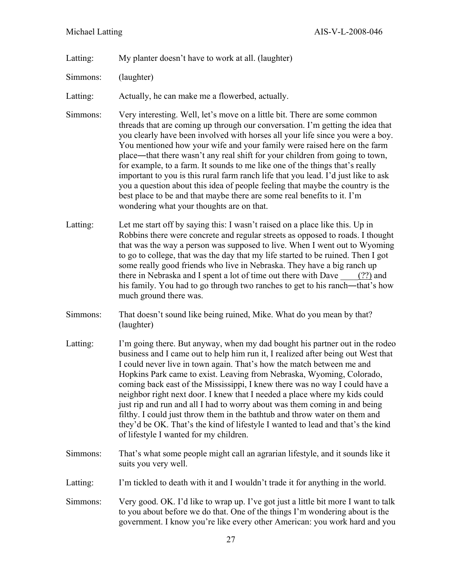- Latting: My planter doesn't have to work at all. (laughter)
- Simmons: (laughter)
- Latting: Actually, he can make me a flowerbed, actually.
- Simmons: Very interesting. Well, let's move on a little bit. There are some common threads that are coming up through our conversation. I'm getting the idea that you clearly have been involved with horses all your life since you were a boy. You mentioned how your wife and your family were raised here on the farm place―that there wasn't any real shift for your children from going to town, for example, to a farm. It sounds to me like one of the things that's really important to you is this rural farm ranch life that you lead. I'd just like to ask you a question about this idea of people feeling that maybe the country is the best place to be and that maybe there are some real benefits to it. I'm wondering what your thoughts are on that.
- Latting: Let me start off by saying this: I wasn't raised on a place like this. Up in Robbins there were concrete and regular streets as opposed to roads. I thought that was the way a person was supposed to live. When I went out to Wyoming to go to college, that was the day that my life started to be ruined. Then I got some really good friends who live in Nebraska. They have a big ranch up there in Nebraska and I spent a lot of time out there with Dave \_\_\_\_(??) and his family. You had to go through two ranches to get to his ranch—that's how much ground there was.
- Simmons: That doesn't sound like being ruined, Mike. What do you mean by that? (laughter)
- Latting: I'm going there. But anyway, when my dad bought his partner out in the rodeo business and I came out to help him run it, I realized after being out West that I could never live in town again. That's how the match between me and Hopkins Park came to exist. Leaving from Nebraska, Wyoming, Colorado, coming back east of the Mississippi, I knew there was no way I could have a neighbor right next door. I knew that I needed a place where my kids could just rip and run and all I had to worry about was them coming in and being filthy. I could just throw them in the bathtub and throw water on them and they'd be OK. That's the kind of lifestyle I wanted to lead and that's the kind of lifestyle I wanted for my children.
- Simmons: That's what some people might call an agrarian lifestyle, and it sounds like it suits you very well.
- Latting: I'm tickled to death with it and I wouldn't trade it for anything in the world.
- Simmons: Very good. OK. I'd like to wrap up. I've got just a little bit more I want to talk to you about before we do that. One of the things I'm wondering about is the government. I know you're like every other American: you work hard and you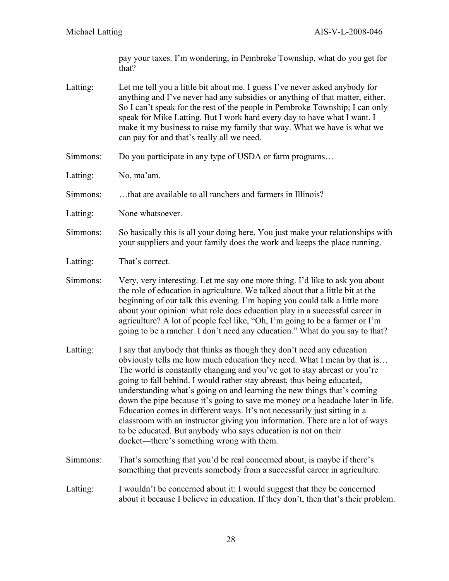pay your taxes. I'm wondering, in Pembroke Township, what do you get for that?

- Latting: Let me tell you a little bit about me. I guess I've never asked anybody for anything and I've never had any subsidies or anything of that matter, either. So I can't speak for the rest of the people in Pembroke Township; I can only speak for Mike Latting. But I work hard every day to have what I want. I make it my business to raise my family that way. What we have is what we can pay for and that's really all we need.
- Simmons: Do you participate in any type of USDA or farm programs…
- Latting: No, ma'am.
- Simmons: ...that are available to all ranchers and farmers in Illinois?
- Latting: None whatsoever.
- Simmons: So basically this is all your doing here. You just make your relationships with your suppliers and your family does the work and keeps the place running.
- Latting: That's correct.
- Simmons: Very, very interesting. Let me say one more thing. I'd like to ask you about the role of education in agriculture. We talked about that a little bit at the beginning of our talk this evening. I'm hoping you could talk a little more about your opinion: what role does education play in a successful career in agriculture? A lot of people feel like, "Oh, I'm going to be a farmer or I'm going to be a rancher. I don't need any education." What do you say to that?
- Latting: I say that anybody that thinks as though they don't need any education obviously tells me how much education they need. What I mean by that is… The world is constantly changing and you've got to stay abreast or you're going to fall behind. I would rather stay abreast, thus being educated, understanding what's going on and learning the new things that's coming down the pipe because it's going to save me money or a headache later in life. Education comes in different ways. It's not necessarily just sitting in a classroom with an instructor giving you information. There are a lot of ways to be educated. But anybody who says education is not on their docket―there's something wrong with them.
- Simmons: That's something that you'd be real concerned about, is maybe if there's something that prevents somebody from a successful career in agriculture.
- Latting: I wouldn't be concerned about it: I would suggest that they be concerned about it because I believe in education. If they don't, then that's their problem.